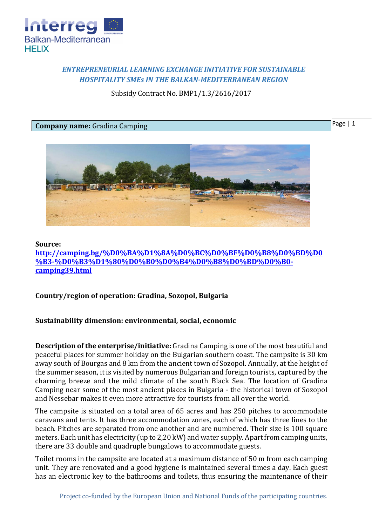

## *ENTREPRENEURIAL LEARNING EXCHANGE INITIATIVE FOR SUSTAINABLE HOSPITALITY SMEs IN THE BALKAN-MEDITERRANEAN REGION*

Subsidy Contract No. BMP1/1.3/2616/2017

## **Company name:** Gradina Camping

Page | 1



## **Source:**

**[http://camping.bg/%D0%BA%D1%8A%D0%BC%D0%BF%D0%B8%D0%BD%D0](http://camping.bg/%D0%BA%D1%8A%D0%BC%D0%BF%D0%B8%D0%BD%D0%B3-%D0%B3%D1%80%D0%B0%D0%B4%D0%B8%D0%BD%D0%B0-camping39.html) [%B3-%D0%B3%D1%80%D0%B0%D0%B4%D0%B8%D0%BD%D0%B0](http://camping.bg/%D0%BA%D1%8A%D0%BC%D0%BF%D0%B8%D0%BD%D0%B3-%D0%B3%D1%80%D0%B0%D0%B4%D0%B8%D0%BD%D0%B0-camping39.html) [camping39.html](http://camping.bg/%D0%BA%D1%8A%D0%BC%D0%BF%D0%B8%D0%BD%D0%B3-%D0%B3%D1%80%D0%B0%D0%B4%D0%B8%D0%BD%D0%B0-camping39.html)**

**Country/region of operation: Gradina, Sozopol, Bulgaria**

## **Sustainability dimension: environmental, social, economic**

**Description of the enterprise/initiative:** Gradina Camping is one of the most beautiful and peaceful places for summer holiday on the Bulgarian southern coast. The campsite is 30 km away south of Bourgas and 8 km from the ancient town of Sozopol. Annually, at the height of the summer season, it is visited by numerous Bulgarian and foreign tourists, captured by the charming breeze and the mild climate of the south Black Sea. The location of Gradina Camping near some of the most ancient places in Bulgaria - the historical town of Sozopol and Nessebar makes it even more attractive for tourists from all over the world.

The campsite is situated on a total area of 65 acres and has 250 pitches to accommodate caravans and tents. It has three accommodation zones, each of which has three lines to the beach. Pitches are separated from one another and are numbered. Their size is 100 square meters. Each unit has electricity (up to 2,20 kW) and water supply. Apart from camping units, there are 33 double and quadruple bungalows to accommodate guests.

Toilet rooms in the campsite are located at a maximum distance of 50 m from each camping unit. They are renovated and a good hygiene is maintained several times a day. Each guest has an electronic key to the bathrooms and toilets, thus ensuring the maintenance of their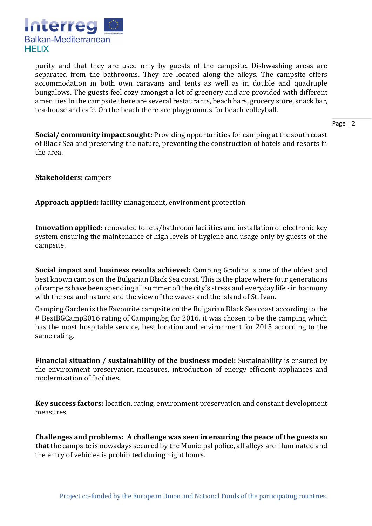

purity and that they are used only by guests of the campsite. Dishwashing areas are separated from the bathrooms. They are located along the alleys. The campsite offers accommodation in both own caravans and tents as well as in double and quadruple bungalows. The guests feel cozy amongst a lot of greenery and are provided with different amenities In the campsite there are several restaurants, beach bars, grocery store, snack bar, tea-house and cafe. On the beach there are playgrounds for beach volleyball.

Page | 2

**Social/ community impact sought:** Providing opportunities for camping at the south coast of Black Sea and preserving the nature, preventing the construction of hotels and resorts in the area.

**Stakeholders:** campers

**Approach applied:** facility management, environment protection

**Innovation applied:** renovated toilets/bathroom facilities and installation of electronic key system ensuring the maintenance of high levels of hygiene and usage only by guests of the campsite.

**Social impact and business results achieved:** Camping Gradina is one of the oldest and best known camps on the Bulgarian Black Sea coast. This is the place where four generations of campers have been spending all summer off the city's stress and everyday life - in harmony with the sea and nature and the view of the waves and the island of St. Ivan.

Camping Garden is the Favourite campsite on the Bulgarian Black Sea coast according to the # BestBGCamp2016 rating of Camping.bg for 2016, it was chosen to be the camping which has the most hospitable service, best location and environment for 2015 according to the same rating.

**Financial situation / sustainability of the business model:** Sustainability is ensured by the environment preservation measures, introduction of energy efficient appliances and modernization of facilities.

**Key success factors:** location, rating, environment preservation and constant development measures

**Challenges and problems: A challenge was seen in ensuring the peace of the guests so that** the campsite is nowadays secured by the Municipal police, all alleys are illuminated and the entry of vehicles is prohibited during night hours.